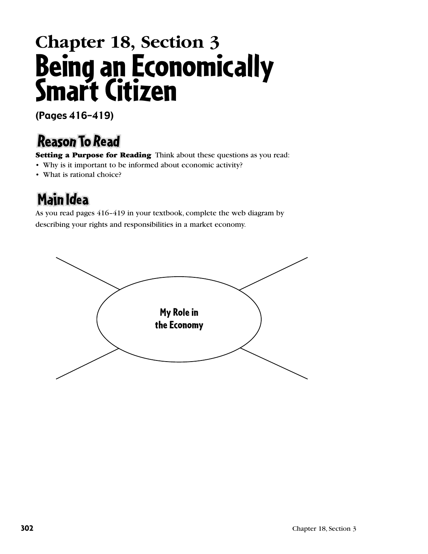## **Chapter 18, Section 3** Being an Economically Smart Citizen

(Pages 416–419)

## **Reason To Read**

Setting a Purpose for Reading Think about these questions as you read:

- Why is it important to be informed about economic activity?
- What is rational choice?

## **Main Idea**

As you read pages 416–419 in your textbook, complete the web diagram by describing your rights and responsibilities in a market economy.

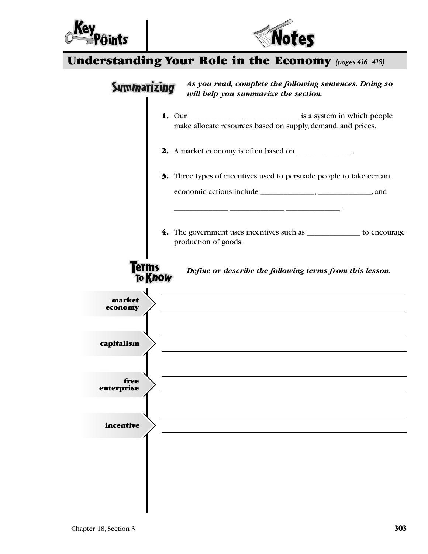



## Understanding Your Role in the Economy *(pages 416–418)*

| 2. A market economy is often based on _____________.<br>3. Three types of incentives used to persuade people to take certain<br>production of goods.<br><b>erms</b><br>Define or describe the following terms from this lesson.<br><b>To Know</b><br>the control of the control of the control of the control of the control of<br>market<br>economy<br>free<br>incentive | 4. The government uses incentives such as ______________ to encourage |            |                                                              |
|---------------------------------------------------------------------------------------------------------------------------------------------------------------------------------------------------------------------------------------------------------------------------------------------------------------------------------------------------------------------------|-----------------------------------------------------------------------|------------|--------------------------------------------------------------|
|                                                                                                                                                                                                                                                                                                                                                                           |                                                                       |            | make allocate resources based on supply, demand, and prices. |
|                                                                                                                                                                                                                                                                                                                                                                           |                                                                       |            |                                                              |
|                                                                                                                                                                                                                                                                                                                                                                           |                                                                       |            |                                                              |
|                                                                                                                                                                                                                                                                                                                                                                           |                                                                       |            |                                                              |
|                                                                                                                                                                                                                                                                                                                                                                           |                                                                       |            |                                                              |
|                                                                                                                                                                                                                                                                                                                                                                           |                                                                       |            |                                                              |
|                                                                                                                                                                                                                                                                                                                                                                           |                                                                       |            |                                                              |
|                                                                                                                                                                                                                                                                                                                                                                           |                                                                       |            |                                                              |
|                                                                                                                                                                                                                                                                                                                                                                           |                                                                       |            |                                                              |
|                                                                                                                                                                                                                                                                                                                                                                           |                                                                       |            |                                                              |
|                                                                                                                                                                                                                                                                                                                                                                           |                                                                       |            |                                                              |
|                                                                                                                                                                                                                                                                                                                                                                           |                                                                       |            |                                                              |
|                                                                                                                                                                                                                                                                                                                                                                           |                                                                       |            |                                                              |
|                                                                                                                                                                                                                                                                                                                                                                           |                                                                       |            |                                                              |
|                                                                                                                                                                                                                                                                                                                                                                           |                                                                       | capitalism |                                                              |
|                                                                                                                                                                                                                                                                                                                                                                           |                                                                       |            |                                                              |
|                                                                                                                                                                                                                                                                                                                                                                           |                                                                       | enterprise |                                                              |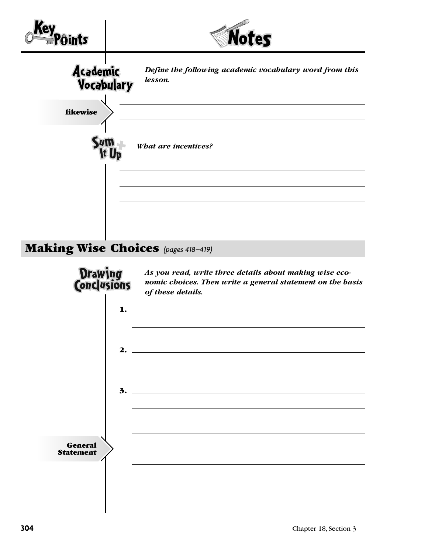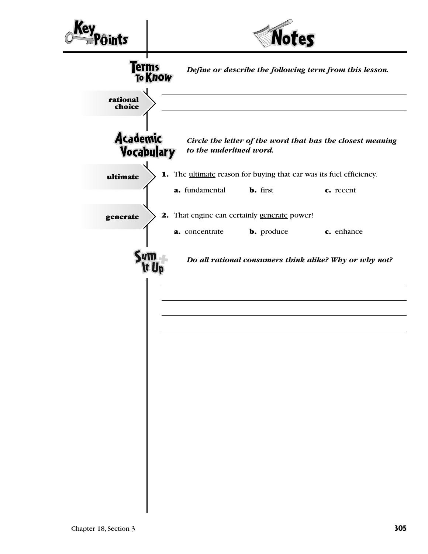